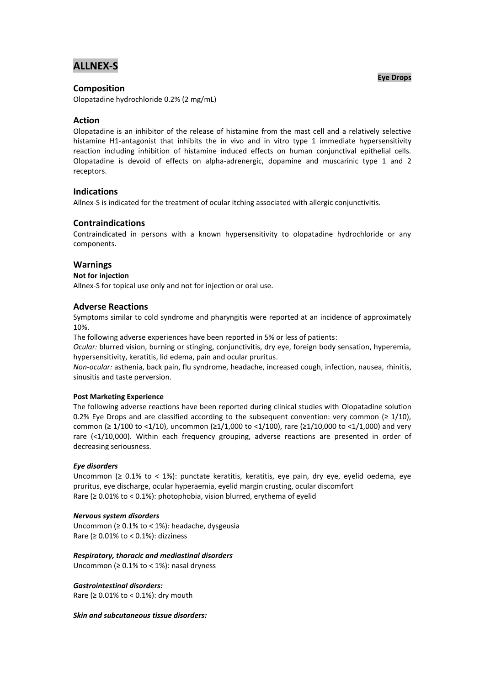# **ALLNEX-S**

# **Composition**

Olopatadine hydrochloride 0.2% (2 mg/mL)

# **Action**

Olopatadine is an inhibitor of the release of histamine from the mast cell and a relatively selective histamine H1-antagonist that inhibits the in vivo and in vitro type 1 immediate hypersensitivity reaction including inhibition of histamine induced effects on human conjunctival epithelial cells. Olopatadine is devoid of effects on alpha-adrenergic, dopamine and muscarinic type 1 and 2 receptors.

# **Indications**

Allnex-S is indicated for the treatment of ocular itching associated with allergic conjunctivitis.

# **Contraindications**

Contraindicated in persons with a known hypersensitivity to olopatadine hydrochloride or any components.

### **Warnings**

### **Not for injection**

Allnex-S for topical use only and not for injection or oral use.

# **Adverse Reactions**

Symptoms similar to cold syndrome and pharyngitis were reported at an incidence of approximately 10%.

The following adverse experiences have been reported in 5% or less of patients:

*Ocular:* blurred vision, burning or stinging, conjunctivitis, dry eye, foreign body sensation, hyperemia, hypersensitivity, keratitis, lid edema, pain and ocular pruritus.

*Non-ocular:* asthenia, back pain, flu syndrome, headache, increased cough, infection, nausea, rhinitis, sinusitis and taste perversion.

### **Post Marketing Experience**

The following adverse reactions have been reported during clinical studies with Olopatadine solution 0.2% Eye Drops and are classified according to the subsequent convention: very common ( $\geq 1/10$ ), common ( $\geq 1/100$  to <1/10), uncommon ( $\geq 1/1,000$  to <1/100), rare ( $\geq 1/10,000$  to <1/1,000) and very rare (<1/10,000). Within each frequency grouping, adverse reactions are presented in order of decreasing seriousness.

### *Eye disorders*

Uncommon (≥ 0.1% to < 1%): punctate keratitis, keratitis, eye pain, dry eye, eyelid oedema, eye pruritus, eye discharge, ocular hyperaemia, eyelid margin crusting, ocular discomfort Rare (≥ 0.01% to < 0.1%): photophobia, vision blurred, erythema of eyelid

#### *Nervous system disorders*

Uncommon (≥ 0.1% to < 1%): headache, dysgeusia Rare ( $\geq 0.01\%$  to < 0.1%): dizziness

### *Respiratory, thoracic and mediastinal disorders*

Uncommon ( $\geq 0.1\%$  to < 1%): nasal dryness

#### *Gastrointestinal disorders:*

Rare ( $\geq 0.01\%$  to < 0.1%): dry mouth

#### *Skin and subcutaneous tissue disorders:*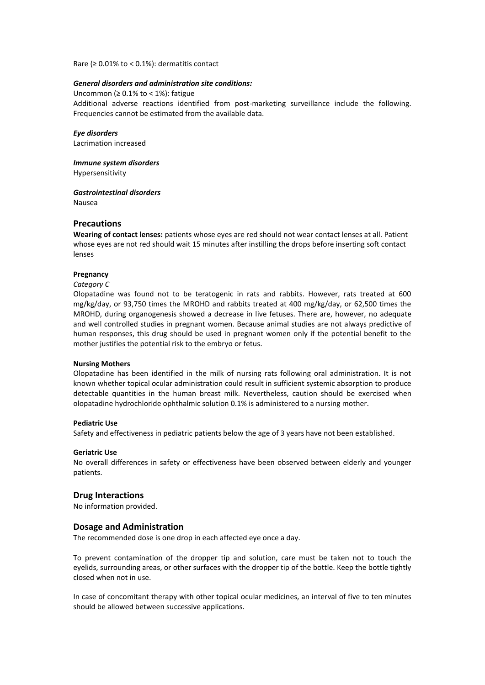Rare ( $\geq 0.01\%$  to < 0.1%): dermatitis contact

#### *General disorders and administration site conditions:*

Uncommon ( $\geq 0.1\%$  to < 1%): fatigue Additional adverse reactions identified from post-marketing surveillance include the following. Frequencies cannot be estimated from the available data.

# *Eye disorders*

Lacrimation increased

*Immune system disorders* 

Hypersensitivity

*Gastrointestinal disorders* 

Nausea

# **Precautions**

**Wearing of contact lenses:** patients whose eyes are red should not wear contact lenses at all. Patient whose eyes are not red should wait 15 minutes after instilling the drops before inserting soft contact lenses

#### **Pregnancy**

*Category C*

Olopatadine was found not to be teratogenic in rats and rabbits. However, rats treated at 600 mg/kg/day, or 93,750 times the MROHD and rabbits treated at 400 mg/kg/day, or 62,500 times the MROHD, during organogenesis showed a decrease in live fetuses. There are, however, no adequate and well controlled studies in pregnant women. Because animal studies are not always predictive of human responses, this drug should be used in pregnant women only if the potential benefit to the mother justifies the potential risk to the embryo or fetus.

#### **Nursing Mothers**

Olopatadine has been identified in the milk of nursing rats following oral administration. It is not known whether topical ocular administration could result in sufficient systemic absorption to produce detectable quantities in the human breast milk. Nevertheless, caution should be exercised when olopatadine hydrochloride ophthalmic solution 0.1% is administered to a nursing mother.

#### **Pediatric Use**

Safety and effectiveness in pediatric patients below the age of 3 years have not been established.

#### **Geriatric Use**

No overall differences in safety or effectiveness have been observed between elderly and younger patients.

### **Drug Interactions**

No information provided.

### **Dosage and Administration**

The recommended dose is one drop in each affected eye once a day.

To prevent contamination of the dropper tip and solution, care must be taken not to touch the eyelids, surrounding areas, or other surfaces with the dropper tip of the bottle. Keep the bottle tightly closed when not in use.

In case of concomitant therapy with other topical ocular medicines, an interval of five to ten minutes should be allowed between successive applications.